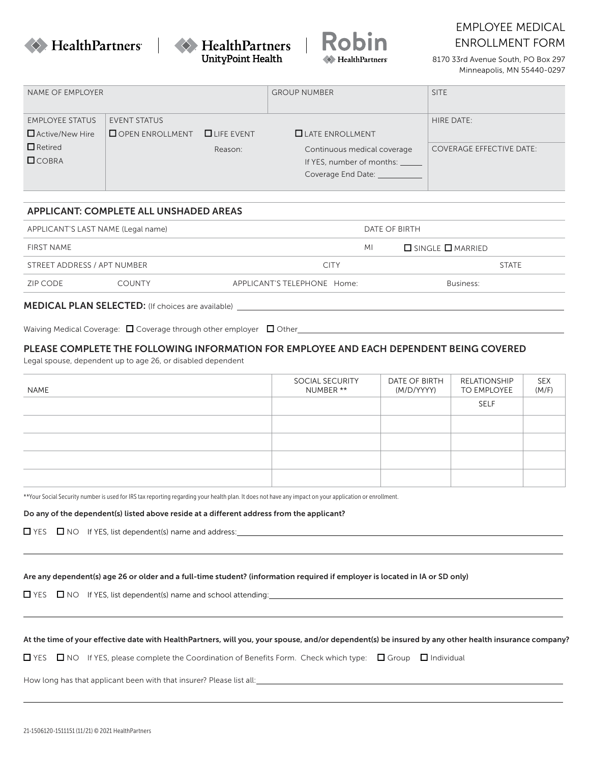





# EMPLOYEE MEDICAL ENROLLMENT FORM

8170 33rd Avenue South, PO Box 297 Minneapolis, MN 55440-0297

| NAME OF EMPLOYER                                 |                                               |                | <b>GROUP NUMBER</b>                                                            | <b>SITE</b>                     |
|--------------------------------------------------|-----------------------------------------------|----------------|--------------------------------------------------------------------------------|---------------------------------|
| <b>EMPLOYEE STATUS</b><br>$\Box$ Active/New Hire | <b>EVENT STATUS</b><br>$\Box$ OPEN ENROLLMENT | $L$ LIFE EVENT | $\Box$ LATE ENROLLMENT                                                         | HIRE DATE:                      |
| $\Box$ Retired<br>COBRA                          |                                               | Reason:        | Continuous medical coverage<br>If YES, number of months:<br>Coverage End Date: | <b>COVERAGE EFFECTIVE DATE:</b> |

## APPLICANT: COMPLETE ALL UNSHADED AREAS

|                                           | APPLICANT'S LAST NAME (Legal name) |                             | DATE OF BIRTH                                |  |
|-------------------------------------------|------------------------------------|-----------------------------|----------------------------------------------|--|
| FIRST NAME<br>STREET ADDRESS / APT NUMBER |                                    | MI                          | $\Box$ single $\Box$ married<br><b>STATE</b> |  |
|                                           |                                    | <b>CITY</b>                 |                                              |  |
| ZIP CODE                                  | <b>COUNTY</b>                      | APPLICANT'S TELEPHONE Home: | Business:                                    |  |

Waiving Medical Coverage:  $\Box$  Coverage through other employer  $\Box$  Other express are all containing the contact of the coverage through other employer  $\Box$  Other express are all coverage through other employer  $\Box$  Other

## PLEASE COMPLETE THE FOLLOWING INFORMATION FOR EMPLOYEE AND EACH DEPENDENT BEING COVERED

Legal spouse, dependent up to age 26, or disabled dependent

| NAME | SOCIAL SECURITY<br>NUMBER ** | DATE OF BIRTH<br>(M/D/YYYY) | RELATIONSHIP<br>TO EMPLOYEE | SEX<br>(M/F) |
|------|------------------------------|-----------------------------|-----------------------------|--------------|
|      |                              |                             | <b>SELF</b>                 |              |
|      |                              |                             |                             |              |
|      |                              |                             |                             |              |
|      |                              |                             |                             |              |
|      |                              |                             |                             |              |

\*\*Your Social Security number is used for IRS tax reporting regarding your health plan. It does not have any impact on your application or enrollment.

#### Do any of the dependent(s) listed above reside at a different address from the applicant?

THES NO If YES, list dependent(s) name and address: The material contract of the state of the state of the state of the state of the state of the state of the state of the state of the state of the state of the state of th

YES NO If YES, list dependent(s) name and school attending:

At the time of your effective date with HealthPartners, will you, your spouse, and/or dependent(s) be insured by any other health insurance company?

YES  $\Box$  NO If YES, please complete the Coordination of Benefits Form. Check which type:  $\Box$  Group  $\Box$  Individual

How long has that applicant been with that insurer? Please list all: